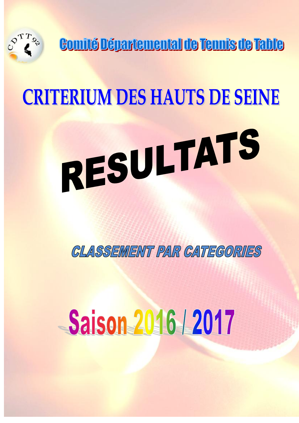

Comité Départemental de Tennis de Table

# **CRITERIUM DES HAUTS DE SEINE** RESULTATS

**CLASSEMENT PAR CATEGORIES** 

# **Saison 2016 | 2017**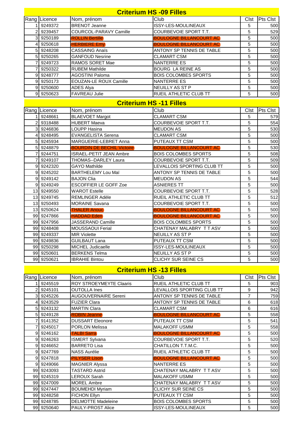|                | <b>Criterium HS -09 Filles</b> |                                   |                                |      |          |  |  |  |
|----------------|--------------------------------|-----------------------------------|--------------------------------|------|----------|--|--|--|
|                | Rang Licence                   | Nom, prénom                       | Club                           | Clst | Pts Clst |  |  |  |
| 1              | 9249372                        | <b>BRENOT Jeanne</b>              | ISSY-LES-MOULINEAUX            | 5    | 500      |  |  |  |
| $\overline{2}$ | 9239457                        | COURCOL-PARAVY Camille            | COURBEVOIE SPORT T.T.          | 5    | 529      |  |  |  |
| $\vert$ 3      | 9250189                        | <b>ROLLIN Bertille</b>            | <b>BOULOGNE BILLANCOURT AC</b> | 5    | 500      |  |  |  |
| 4              | 9250618                        | <b>HERBIERE Emy</b>               | <b>BOULOGNE BILLANCOURT AC</b> | 5    | 500      |  |  |  |
| 5 <sub>l</sub> | 9248208                        | <b>CASSAING Anaïs</b>             | ANTONY SP TENNIS DE TABLE      | 5    | 500      |  |  |  |
| 5 <sub>l</sub> | 9250265                        | <b>GANFOUD Nesrine</b>            | <b>CLAMART CSM</b>             | 5    | 500      |  |  |  |
| 7              | 9249723                        | RAMOS SORET Mae                   | <b>NANTERRE ES</b>             | 5    | 500      |  |  |  |
| 7              | 9250322                        | <b>RUBEM Mathilde</b>             | <b>BOURG LA REINE AS</b>       | 5    | 500      |  |  |  |
| 9              | 9248777                        | <b>AGOSTINI Paloma</b>            | <b>BOIS COLOMBES SPORTS</b>    | 5    | 500      |  |  |  |
| 9              | 9250173                        | <b>EOUZAN-LE ROUX Camille</b>     | <b>NANTERRE ES</b>             | 5    | 500      |  |  |  |
| 9              | 9250600                        | <b>ADES Alya</b>                  | NEUILLY AS ST P                | 5    | 500      |  |  |  |
|                | 9 9250623                      | <b>FAVREAU Julie</b>              | RUEIL ATHLETIC CLUB TT         | 5    | 500      |  |  |  |
|                | <b>Criterium HS-11 Filles</b>  |                                   |                                |      |          |  |  |  |
|                | Rang Licence                   | Nom, prénom                       | Club                           | Clst | Pts Clst |  |  |  |
|                | 9248661                        | <b>BLAEVOET Margot</b>            | <b>CLAMART CSM</b>             | 5    | 579      |  |  |  |
| $\overline{2}$ | 9318488                        | <b>HUBERT Maeva</b>               | COURBEVOIE SPORT T.T.          | 5    | 554      |  |  |  |
| $\vert$ 3      | 9246836                        | <b>LOUPP Hasina</b>               | <b>MEUDON AS</b>               | 5    | 530      |  |  |  |
| 4              | 9248495                        | <b>EVANGELISTA Serena</b>         | <b>CLAMART CSM</b>             | 5    | 500      |  |  |  |
| 5              | 9245934                        | MARGUERIE-LEBRET Anna             | PUTEAUX TT CSM                 | 5    | 500      |  |  |  |
| 5              | 9248879                        | <b>BOURDIN DE BECHIL Victoire</b> | <b>BOULOGNE BILLANCOURT AC</b> | 5    | 530      |  |  |  |
| 7              | 9244751                        | <b>ISRAEL-PETIT JEAN Ambre</b>    | <b>BOIS COLOMBES SPORTS</b>    | 5    | 508      |  |  |  |
| 7              | 9249107                        | THOMAS--DARLEY Laura              | COURBEVOIE SPORT T.T.          | 5    | 509      |  |  |  |
|                | 9 9 9 24 23 20                 | <b>GAYO Mathilde</b>              | LEVALLOIS SPORTING CLUB TT     | 5    | 500      |  |  |  |
|                | 9 9245202                      | <b>BARTHELEMY Lou Maï</b>         | ANTONY SP TENNIS DE TABLE      | 5    | 500      |  |  |  |
|                | 9 9 9 9 4 9 1 4 2              | <b>BAJON Clia</b>                 | <b>MEUDON AS</b>               | 5    | 544      |  |  |  |
| 9              | 9249249                        | <b>ESCOFFIER LE GOFF Zoe</b>      | <b>ASNIERES TT</b>             | 5    | 500      |  |  |  |
|                | 13 9249550                     | <b>WAROT Estelle</b>              | COURBEVOIE SPORT T.T.          | 5    | 528      |  |  |  |
|                | 13 9249745                     | <b>REMLINGER Adèle</b>            | RUEIL ATHLETIC CLUB TT         | 5    | 512      |  |  |  |
|                | 13 9250493                     | <b>MORAINE Savana</b>             | COURBEVOIE SPORT T.T.          | 5    | 500      |  |  |  |
| 13             | 9250624                        | <b>THALER Anouc</b>               | <b>BOULOGNE BILLANCOURT AC</b> | 5    | 500      |  |  |  |
|                | 99 9247866                     | <b>HADDAD Eden</b>                | <b>BOULOGNE BILLANCOURT AC</b> | 5    | 500      |  |  |  |
|                | 99 9247956                     | JASSERAND Camille                 | <b>BOIS COLOMBES SPORTS</b>    | 5    | 500      |  |  |  |
|                | 99 9248408                     | MOUSSAOUI Ferial                  | CHATENAY MALABRY TT ASV        | 5    | 500      |  |  |  |
|                | 99 9249337                     | <b>MIR Violette</b>               | <b>NEUILLY AS ST P</b>         | 5    | 500      |  |  |  |
|                | 99 9249836                     | <b>GUILBAUT Lana</b>              | PUTEAUX TT CSM                 | 5    | 500      |  |  |  |
|                | 99 9250298                     | MICHEL Judicaelle                 | ISSY-LES-MOULINEAUX            | 5    | 500      |  |  |  |
|                | 99 9250601                     | <b>BERKENS Telma</b>              | NEUILLY AS ST P                | 5    | 500      |  |  |  |
|                | 99 9250621                     | <b>IBRAHIE Bintou</b>             | CLICHY SUR SEINE CS            | 5    | 500      |  |  |  |
|                | <b>Criterium HS -13 Filles</b> |                                   |                                |      |          |  |  |  |

|                 | Rang Licence | Nom, prénom                    | Club                           | <b>Clst</b> | Pts Clst |  |  |
|-----------------|--------------|--------------------------------|--------------------------------|-------------|----------|--|--|
|                 | 9245519      | <b>ROY STROEYMEYTE Claaris</b> | RUEIL ATHLETIC CLUB TT         | 5           | 903      |  |  |
|                 | 9245101      | <b>OUTOLLA Ines</b>            | LEVALLOIS SPORTING CLUB TT     | 9           | 942      |  |  |
|                 | 9245226      | <b>AUGOUVERNAIRE Sereni</b>    | ANTONY SP TENNIS DE TABLE      | 7           | 759      |  |  |
|                 | 9243529      | <b>FUZIER Clara</b>            | ANTONY SP TENNIS DE TABLE      | 6           | 618      |  |  |
| 5               | 9243132      | <b>MARTIN Clara</b>            | <b>CLAMART CSM</b>             | 6           | 616      |  |  |
|                 | 9249128      | <b>ROBIN Jeanne</b>            | <b>BOULOGNE BILLANCOURT AC</b> | 5           | 558      |  |  |
|                 | 9141352      | <b>DUSSART Eleonore</b>        | PUTEAUX TT CSM                 | 5           | 541      |  |  |
|                 | 9245017      | PORLON Melissa                 | <b>MALAKOFF USMM</b>           | 5           | 558      |  |  |
| я               | 9246162      | <b>TALBI Sarra</b>             | <b>BOULOGNE BILLANCOURT AC</b> | 5           | 500      |  |  |
| 9               | 9246263      | <b>ISMERT Sylvana</b>          | COURBEVOIE SPORT T.T.          | 5           | 520      |  |  |
| 9               | 9246652      | <b>BARRETO Lisa</b>            | CHATILLON T.T.M.C.             | 5           | 500      |  |  |
| 9               | 9247769      | <b>NASS Aurélie</b>            | RUEIL ATHLETIC CLUB TT         | 5           | 500      |  |  |
| 9               | 9247818      | <b>PILYSER Lison</b>           | <b>BOULOGNE BILLANCOURT AC</b> | 5           | 500      |  |  |
| я               | 9249066      | <b>MAGNIER Alyssa</b>          | NANTERRE ES                    | 5           | 500      |  |  |
| 99 <sub>l</sub> | 9243093      | <b>TASTARD Astrid</b>          | CHATENAY MALABRY TT ASV        | 5           | 500      |  |  |
| 99              | 9245319      | LEROUX Sarah                   | <b>MALAKOFF USMM</b>           | 5           | 500      |  |  |
| 99 <sub>l</sub> | 9247009      | <b>MOREL Ambre</b>             | CHATENAY MALABRY TT ASV        | 5           | 500      |  |  |
|                 | 99 9247447   | <b>BOUMEHDI Myriam</b>         | CLICHY SUR SEINE CS            | 5           | 500      |  |  |
| 99              | 9248258      | <b>FICHON Ellyn</b>            | PUTEAUX TT CSM                 | 5           | 500      |  |  |
| 99I             | 9248785      | <b>DELMOTTE Madeleine</b>      | <b>BOIS COLOMBES SPORTS</b>    | 5           | 500      |  |  |
|                 | 99 9250640   | PAULY-PROST Alice              | ISSY-LES-MOULINEAUX            | 5           | 500      |  |  |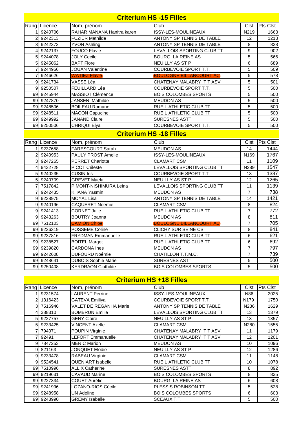|                | <b>Criterium HS -15 Filles</b> |                                |                                |                  |                  |  |  |
|----------------|--------------------------------|--------------------------------|--------------------------------|------------------|------------------|--|--|
|                | Rang Licence                   | Nom, prénom                    | Club                           | Clst             | <b>Pts Clst</b>  |  |  |
|                | 1 9240706                      | RAHARIMANANA Hanitra karen     | ISSY-LES-MOULINEAUX            | N219             | 1663             |  |  |
|                | 2 9242313                      | <b>FUZIER Mathilde</b>         | ANTONY SP TENNIS DE TABLE      | 12               | 1213             |  |  |
|                | 3 9242373                      | <b>YVON Ashling</b>            | ANTONY SP TENNIS DE TABLE      | 8                | 828              |  |  |
| $\vert$        | 9242137                        | <b>FOUCO Flavie</b>            | LEVALLOIS SPORTING CLUB TT     | $\boldsymbol{9}$ | 902              |  |  |
|                | 5 9244078                      | <b>JOLY Cecile</b>             | <b>BOURG LA REINE AS</b>       | 5                | 566              |  |  |
|                | 5 9245062                      | <b>BAPT Flore</b>              | NEUILLY AS ST P                | 6                | 689              |  |  |
| 7              | 9244956                        | <b>JOUAN Valentine</b>         | COURBEVOIE SPORT T.T.          | 5                | 509              |  |  |
| $\overline{7}$ | 9246626                        | <b>WATIEZ Flavie</b>           | <b>BOULOGNE BILLANCOURT AC</b> | 5                | 578              |  |  |
|                | 9 9 9 4 1 7 3 4                | VASSE Léa                      | CHATENAY MALABRY TT ASV        | 5                | 501              |  |  |
|                | 9 9250507                      | FEUILLARD Léa                  | COURBEVOIE SPORT T.T.          | 5                | 500              |  |  |
|                | 99 9245944                     | <b>MASSIOT Clémence</b>        | <b>BOIS COLOMBES SPORTS</b>    | 5                | 500              |  |  |
|                | 99 9247870                     | JANSEN Mathilde                | <b>MEUDON AS</b>               | 5                | 500              |  |  |
|                | 99 9248506                     | <b>BOILEAU Romane</b>          | RUEIL ATHLETIC CLUB TT         | 5                | 500              |  |  |
|                | 99 9248511                     | <b>MACON Capucine</b>          | RUEIL ATHLETIC CLUB TT         | 5                | 500              |  |  |
|                | 99 9249992                     | <b>JANAND Claire</b>           | <b>SURESNES ASTT</b>           | 5                | 500              |  |  |
|                | 99 9250506                     | CHRIQUI Elya                   | COURBEVOIE SPORT T.T.          | 5                | 500              |  |  |
|                |                                | <b>Criterium HS -18 Filles</b> |                                |                  |                  |  |  |
|                | Rang Licence                   | Nom, prénom                    | Club                           | Clst             | <b>Pts Clst</b>  |  |  |
|                | 1 9237658                      | FARESCOURT Sarah               | <b>MEUDON AS</b>               | 14               | 1444             |  |  |
|                | 2 9240953                      | PAULY PROST Amelie             | <b>ISSY-LES-MOULINEAUX</b>     | N169             | 1767             |  |  |
|                | 3 9247265                      | <b>PERRET Charlotte</b>        | <b>CLAMART CSM</b>             | 11               | 1109             |  |  |
|                | 4 9432728                      | <b>PICOT Céleste</b>           | LEVALLOIS SPORTING CLUB TT     | N289             | 1547             |  |  |
|                | 5 9240235                      | <b>CUSIN Iris</b>              | COURBEVOIE SPORT T.T.          | 13               | 1387             |  |  |
|                | 5 9240709                      | <b>GREVET Maela</b>            | NEUILLY AS ST P                | 12               | 1265             |  |  |
|                | 7 7517842                      | PIMONT-NISHIMURA Leina         | LEVALLOIS SPORTING CLUB TT     | 11               | 1139             |  |  |
| $\overline{7}$ | 9242435                        | KHANA Yasmin                   | <b>MEUDON AS</b>               | $\overline{7}$   | 738              |  |  |
|                | 9 9238975                      | MOYAL Lisa                     | ANTONY SP TENNIS DE TABLE      | 14               | 1421             |  |  |
|                | 9 9240196                      | <b>CAQUERET Noemie</b>         | <b>CLAMART CSM</b>             | 8                | 824              |  |  |
|                | 9 9 9 241413                   | <b>CORNET Julie</b>            | RUEIL ATHLETIC CLUB TT         | $\overline{7}$   | $\overline{772}$ |  |  |
|                | 9 9 9 24 3 26 3                | <b>BOUTRY Joanna</b>           | <b>MEUDON AS</b>               | 8                | 811              |  |  |
|                | 99 7512103                     | <b>CAMION Chloe</b>            | <b>BOULOGNE BILLANCOURT AC</b> | $\overline{7}$   | 705              |  |  |
|                | 99 9236319                     | POSSEME Coline                 | CLICHY SUR SEINE CS            | 8                | 841              |  |  |
|                | 99 9237816                     | <b>FRYDMAN Emmanuelle</b>      | RUEIL ATHLETIC CLUB TT         | 6                | 621              |  |  |
|                | 99 9238527                     | <b>BOITEL Margot</b>           | RUEIL ATHLETIC CLUB TT         | 6                | 692              |  |  |
|                | 99 9239820                     | <b>CARDONA</b> Ines            | <b>MEUDON AS</b>               | $\overline{7}$   | 797              |  |  |
|                | 99 9242608                     | <b>DUFOURD Noémie</b>          | CHATILLON T.T.M.C.             | $\overline{7}$   | 739              |  |  |
|                | 99 9248641                     | <b>DUBOIS Sophie Marie</b>     | <b>SURESNES ASTT</b>           | 5                | 500              |  |  |
|                | 99 9250408                     | <b>KERDRAON Clothilde</b>      | <b>BOIS COLOMBES SPORTS</b>    | 5                | 500              |  |  |

# **Criterium HS +18 Filles**

|                | Rang Licence | Nom, prénom              | Club                        | Clst | <b>Pts Clst</b> |
|----------------|--------------|--------------------------|-----------------------------|------|-----------------|
|                | 9231574      | <b>LAURENT Perrine</b>   | <b>ISSY-LES-MOULINEAUX</b>  | N86  | 2025            |
|                | 2 1316423    | <b>GATEVA Emiliya</b>    | COURBEVOIE SPORT T.T.       | N179 | 1750            |
| 3I             | 7516946      | VALET DE REGANHA Marie   | ANTONY SP TENNIS DE TABLE   | N236 | 1629            |
| 4              | 388310       | <b>BOMBRUN Emilie</b>    | LEVALLOIS SPORTING CLUB TT  | 13   | 1379            |
| 5 <sup>1</sup> | 9227757      | <b>GENY Claire</b>       | NEUILLY AS ST P             | 13   | 1357            |
| 5 <sup>1</sup> | 9233425      | <b>VINCENT Axelle</b>    | <b>CLAMART CSM</b>          | N280 | 1555            |
|                | 794071       | POUPIN Virginie          | CHATENAY MALABRY TT ASV     | 11   | 1179            |
|                | 92491        | <b>LEFORT Emmanuelle</b> | CHATENAY MALABRY TT ASV     | 12   | 1201            |
| 9 <sub>l</sub> | 7847253      | <b>MERIC Marion</b>      | <b>MEUDON AS</b>            | 10   | 1096            |
| 9              | 821163       | JONQUET Elodie           | NEUILLY AS ST P             | 12   | 1286            |
| 9              | 9233478      | RABEAU Virginie          | <b>CLAMART CSM</b>          | 11   | 1148            |
| 9              | 9524541      | <b>QUENIART Isabelle</b> | RUEIL ATHLETIC CLUB TT      | 10   | 1078            |
| 99 I           | 7510996      | <b>ALLIX Catherine</b>   | <b>SURESNES ASTT</b>        | 8    | 892             |
| 99             | 9219631      | <b>CAVAUD Marine</b>     | <b>BOIS COLOMBES SPORTS</b> | 8    | 835             |
| 99             | 9227334      | <b>COUET Aurélie</b>     | <b>BOURG LA REINE AS</b>    | 6    | 608             |
|                | 99 9241996   | LOZANO-RIOS Cécile       | PLESSIS ROBINSON TT         | 5    | 528             |
|                | 99 9248958   | <b>UN Adeline</b>        | <b>BOIS COLOMBES SPORTS</b> | 6    | 603             |
|                | 99 9248990   | <b>GREMY Isabelle</b>    | SCEAUX T.T.                 | 5    | 500             |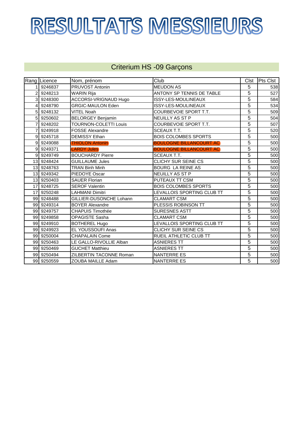# RESULTATS MESSIEURS

#### Criterium HS -09 Garçons

|                 | Rang Licence | Nom, prénom                  | Club                           | Clst           | <b>Pts Clst</b> |
|-----------------|--------------|------------------------------|--------------------------------|----------------|-----------------|
|                 | 9246837      | PRUVOST Antonin              | <b>MEUDON AS</b>               | 5              | 538             |
| 2               | 9248213      | <b>WARIN Rija</b>            | ANTONY SP TENNIS DE TABLE      | $\overline{5}$ | 527             |
| 3               | 9248300      | ACCORSI-VRIGNAUD Hugo        | ISSY-LES-MOULINEAUX            | $\overline{5}$ | 584             |
| Δ               | 9248790      | <b>GRGIC-MAULON Eden</b>     | ISSY-LES-MOULINEAUX            | $\overline{5}$ | 534             |
| 5               | 9248132      | <b>VITEL Noah</b>            | COURBEVOIE SPORT T.T.          | $\overline{5}$ | 509             |
| 5               | 9250602      | <b>BELORGEY Benjamin</b>     | NEUILLY AS ST P                | 5              | 504             |
| 7               | 9248202      | <b>TOURNON-COLETTI Louis</b> | COURBEVOIE SPORT T.T.          | $\overline{5}$ | 507             |
|                 | 9249918      | FOSSE Alexandre              | <b>SCEAUX T.T.</b>             | 5              | 520             |
| $\mathfrak{g}$  | 9245718      | <b>DEMISSY Ethan</b>         | <b>BOIS COLOMBES SPORTS</b>    | 5              | 500             |
| 9               | 9249088      | <b>THIOLON Antonin</b>       | <b>BOULOGNE BILLANCOURT AC</b> | $\overline{5}$ | 500             |
| 9               | 9249371      | <b>LARDY Jules</b>           | <b>BOULOGNE BILLANCOURT AC</b> | $\overline{5}$ | 500             |
| 9               | 9249749      | <b>BOUCHARDY Pierre</b>      | <b>SCEAUX T.T.</b>             | $\overline{5}$ | 500             |
| 13 <sup>1</sup> | 9248424      | <b>GUILLAUME Jules</b>       | CLICHY SUR SEINE CS            | 5              | 500             |
| 13 <sup>1</sup> | 9248763      | <b>TRAN Binh Minh</b>        | <b>BOURG LA REINE AS</b>       | 5              | 500             |
| 13              | 9249342      | PIEDOYE Oscar                | NEUILLY AS ST P                | 5              | 500             |
| 13              | 9250403      | <b>SAUER Florian</b>         | PUTEAUX TT CSM                 | 5              | 500             |
| 17              | 9248725      | <b>SEROF Valentin</b>        | <b>BOIS COLOMBES SPORTS</b>    | 5              | 500             |
| 17              | 9250248      | LAHMANI Dimitri              | LEVALLOIS SPORTING CLUB TT     | 5              | 500             |
| 99              | 9248488      | GILLIER-DUSONCHE Lohann      | <b>CLAMART CSM</b>             | $\overline{5}$ | 500             |
| 99              | 9249314      | <b>BOYER Alexandre</b>       | PLESSIS ROBINSON TT            | 5              | 500             |
| 99 <sub>l</sub> | 9249757      | <b>CHAPUIS Timothée</b>      | <b>SURESNES ASTT</b>           | 5              | 500             |
| 99              | 9249858      | <b>OPAGISTE Sasha</b>        | <b>CLAMART CSM</b>             | 5              | 500             |
| 99              | 9249910      | <b>BOTHEREL Hugo</b>         | LEVALLOIS SPORTING CLUB TT     | 5              | 500             |
| 99              | 9249923      | EL YOUSSOUFI Anas            | CLICHY SUR SEINE CS            | $\overline{5}$ | 500             |
| 99 <sub>l</sub> | 9250004      | <b>CHAPALAIN Come</b>        | RUEIL ATHLETIC CLUB TT         | 5              | 500             |
| 99              | 9250463      | LE GALLO-RIVOLLIE Alban      | <b>ASNIERES TT</b>             | $\overline{5}$ | 500             |
| 99              | 9250469      | <b>GUCHET Matthieu</b>       | <b>ASNIERES TT</b>             | 5              | 500             |
| 99              | 9250494      | ZILBERTIN TACONNE Roman      | <b>NANTERRE ES</b>             | 5              | 500             |
| 99I             | 9250559      | ZOUBA MAILLE Adam            | <b>NANTERRE ES</b>             | 5              | 500             |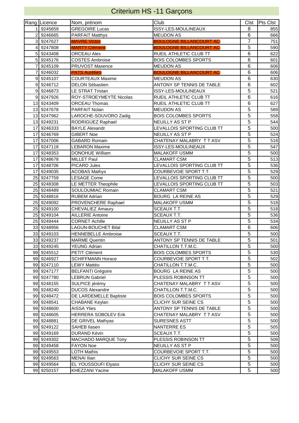# Criterium HS -11 Garçons

|                 | Rang Licence | Nom, prénom                | Club                           | Clst           | <b>Pts Clst</b> |
|-----------------|--------------|----------------------------|--------------------------------|----------------|-----------------|
|                 | 9245659      | <b>GREGOIRE Lucas</b>      | ISSY-LES-MOULINEAUX            | 8              | 855             |
| 2               | 9246665      | <b>PARFAIT Matthys</b>     | <b>MEUDON AS</b>               | 6              | 666             |
| 3               | 9247627      | <b>MAVRE Victor</b>        | <b>BOULOGNE BILLANCOURT AC</b> | $\overline{7}$ | 751             |
| 4               | 9247808      | <b>MARTY Clément</b>       | <b>BOULOGNE BILLANCOURT AC</b> | 5              | 590             |
| 5               | 9243408      | <b>ORCEAU Alex</b>         | RUEIL ATHLETIC CLUB TT         | 6              | 622             |
| 5 <sup>1</sup>  | 9245176      | <b>COSTES Ambroise</b>     | <b>BOIS COLOMBES SPORTS</b>    | 6              | 601             |
|                 | 9245109      | PRUVOST Maxence            | <b>MEUDON AS</b>               | $\overline{6}$ | 606             |
| 7               | 9246032      | <b>PATS Aurélien</b>       | <b>BOULOGNE BILLANCOURT AC</b> | $\overline{6}$ | 606             |
| 9               | 9245107      | <b>COURTEAUX Maxime</b>    | <b>MEUDON AS</b>               | 6              | 630             |
| 9               | 9246712      | <b>DELON Sébastien</b>     | ANTONY SP TENNIS DE TABLE      | 6              | 602             |
| 9               | 9246873      | LE STRAT Tristan           | ISSY-LES-MOULINEAUX            | $\overline{5}$ | 521             |
| 9               | 9247926      | ROY-STROEYMEYTE Nicolas    | RUEIL ATHLETIC CLUB TT         | 6              | 616             |
| 13              | 9243409      | <b>ORCEAU Thomas</b>       | RUEIL ATHLETIC CLUB TT         | 6              | 627             |
| 13              | 9247678      | PARFAIT Nolan              | <b>MEUDON AS</b>               | $\overline{5}$ | 589             |
| 13              | 9247962      | LAROCHE-SOUVORO Zadig      | <b>BOIS COLOMBES SPORTS</b>    | $\overline{5}$ | 558             |
| 13              | 9249231      | RODRIGUEZ Raphael          | NEUILLY AS ST P                | $\overline{5}$ | 544             |
| 17              | 9246333      | <b>BAYLE Alexandr</b>      | LEVALLOIS SPORTING CLUB TT     | $\overline{5}$ | 500             |
| 17              | 9246769      | <b>GIBERT Noe</b>          | NEUILLY AS ST P                | $\overline{5}$ | 524             |
| 17              | 9247006      | <b>GABARD Romain</b>       | CHATENAY MALABRY TT ASV        | 5              | 518             |
| 17              | 9247118      | <b>LEBARON Maxime</b>      | ISSY-LES-MOULINEAUX            | 5              | 547             |
| 17              | 9248353      | <b>DONOHUE William</b>     | <b>MALAKOFF USMM</b>           | 5              | 500             |
| 17              | 9248678      | <b>MILLET Paul</b>         | <b>CLAMART CSM</b>             | 5              | 513             |
| 17              | 9248706      | PICARD Jules               | LEVALLOIS SPORTING CLUB TT     | 5              | 536             |
| 17              | 9249035      | <b>ACOBAS Mathys</b>       | COURBEVOIE SPORT T.T.          | 5              | 529             |
| 25 <sub>l</sub> | 9247759      | <b>LESAGE Come</b>         | LEVALLOIS SPORTING CLUB TT     | 5              | 500             |
|                 | 25 9248308   | LE METTER Theophile        | LEVALLOIS SPORTING CLUB TT     | 5              | 503             |
|                 | 25 9248489   | SOULOUMIAC Romain          | <b>CLAMART CSM</b>             | $\overline{5}$ | 521             |
|                 | 25 9248816   | <b>RUBEM Adrian</b>        | <b>BOURG LA REINE AS</b>       | 5              | 529             |
| 25              | 9249092      | PROVENCHERE Raphael        | MALAKOFF USMM                  | 5              | 518             |
| 25              | 9249100      | CHEVALIEZ Amaury           | SCEAUX T.T.                    | $\overline{5}$ | 518             |
|                 | 25 9249104   | <b>AILLERIE Antoine</b>    | SCEAUX T.T.                    | $\overline{5}$ | 536             |
| 25              | 9249444      | <b>CORNET Achille</b>      | NEUILLY AS ST P                | $\overline{5}$ | 534             |
| 33              | 9248956      | <b>LAGUN-BOUCHET Bilal</b> | <b>CLAMART CSM</b>             | $\,6$          | 606             |
| 33              | 9249103      | <b>HENNEBELLE Ambroise</b> | SCEAUX T.T.                    | 5              | 500             |
|                 | 33 9249237   | <b>MARME Quentin</b>       | ANTONY SP TENNIS DE TABLE      | $\overline{5}$ | 501             |
|                 | 33 9249245   | <b>YEUNG Adrian</b>        | CHATILLON T.T.M.C.             | 5              | 500             |
|                 | 99 9245512   | PETIT Clément              | <b>BOIS COLOMBES SPORTS</b>    | 5              | 530             |
|                 | 99 9246927   | <b>SCHIFFMANN Horace</b>   | COURBEVOIE SPORT T.T.          | 5              | 502             |
|                 | 99 9247110   | <b>LEWY Mattéo</b>         | CHATILLON T.T.M.C.             | 5              | 500             |
|                 | 99 9247177   | <b>BELFANTI Grégoire</b>   | BOURG LA REINE AS              | 5              | 500             |
|                 | 99 9247780   | <b>LEBRUN Gabriel</b>      | PLESSIS ROBINSON TT            | 5              | 500             |
|                 | 99 9248155   | SULPICE jérémy             | CHATENAY MALABRY TT ASV        | 5              | 500             |
|                 | 99 9248240   | <b>DUCOS Alexandre</b>     | CHATILLON T.T.M.C.             | $\overline{5}$ | 500             |
|                 | 99 9248472   | DE LARDEMELLE Baptiste     | <b>BOIS COLOMBES SPORTS</b>    | 5              | 500             |
|                 | 99 9248541   | <b>CHABANE Keylan</b>      | CLICHY SUR SEINE CS            | 5              | 500             |
|                 | 99 9248600   | <b>AISSA Ylies</b>         | ANTONY SP TENNIS DE TABLE      | 5              | 500             |
|                 | 99 9248605   | HERRERA SOBOLEV Erik       | CHATENAY MALABRY TT ASV        | $\overline{5}$ | 500             |
|                 | 99 9248881   | DE GRIVEL Mathyas          | <b>SURESNES ASTT</b>           | 5              | 500             |
|                 | 99 9249122   | SAHEB Ilasen               | NANTERRE ES                    | 5              | 505             |
|                 | 99 9249169   | DURAND Kévin               | SCEAUX T.T.                    | 5              | 500             |
|                 | 99 9249302   | MACHADO MARQUE Tony        | PLESSIS ROBINSON TT            | $\overline{5}$ | 508             |
|                 | 99 9249458   | <b>FAYON Noe</b>           | NEUILLY AS ST P                | 5              | 500             |
|                 | 99 9249553   | <b>LOTH Mathis</b>         | COURBEVOIE SPORT T.T.          | 5              | 500             |
|                 | 99 9249563   | <b>MENAI Ilian</b>         | CLICHY SUR SEINE CS            | 5              | 500             |
|                 | 99 9249564   | EL YOUSSOUFI Elyass        | CLICHY SUR SEINE CS            | 5              | 500             |
|                 | 99 9250157   | KHEZZANI Yacine            | MALAKOFF USMM                  | 5              | 500             |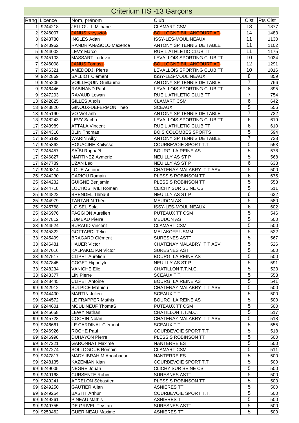|                | <b>Criterium HS -13 Garçons</b> |                                               |                                                       |                |            |  |  |  |
|----------------|---------------------------------|-----------------------------------------------|-------------------------------------------------------|----------------|------------|--|--|--|
|                | Rang Licence                    | Nom, prénom                                   | Club                                                  | <b>Clst</b>    | Pts Clst   |  |  |  |
|                | 9244218                         | JELLOULI Milhane                              | <b>CLAMART CSM</b>                                    | 18             | 1877       |  |  |  |
| $\overline{2}$ | 9246007                         | <b>JANUS Krzysztof</b>                        | <b>BOULOGNE BILLANCOURT AC</b>                        | 14             | 1483       |  |  |  |
| 3              | 9243780                         | <b>INGLES Adan</b>                            | ISSY-LES-MOULINEAUX                                   | 11             | 1130       |  |  |  |
| 4              | 9243962                         | RANDRIANASOLO Maxence                         | ANTONY SP TENNIS DE TABLE                             | 11             | 1102       |  |  |  |
| 5              | 9244002                         | LEVY Marco                                    | RUEIL ATHLETIC CLUB TT                                | 11             | 1175       |  |  |  |
| 5              | 9245103                         | <b>MASSART Ludovic</b>                        | LEVALLOIS SPORTING CLUB TT                            | 10             | 1034       |  |  |  |
| 7              | 9246008                         | <b>JANUS Tomasz</b>                           | <b>BOULOGNE BILLANCOURT AC</b>                        | 12             | 1291       |  |  |  |
| 7              | 9246321                         | <b>AMEDODJI Pierre</b>                        | LEVALLOIS SPORTING CLUB TT                            | 10             | 1016       |  |  |  |
| 9              | 9242869                         | <b>SALLIOT Clément</b>                        | ISSY-LES-MOULINEAUX                                   | 8              | 859        |  |  |  |
| 9              | 9245205                         | <b>VOILLEQUIN Guillaume</b>                   | ANTONY SP TENNIS DE TABLE                             | 7              | 766        |  |  |  |
| $\overline{9}$ | 9246446                         | RABINAND Paul                                 | LEVALLOIS SPORTING CLUB TT                            | 8              | 895        |  |  |  |
| 9              | 9247203                         | RAVAUD Lowan                                  | RUEIL ATHLETIC CLUB TT                                | 7              | 754        |  |  |  |
| 13             | 9242825                         | <b>GILLES Alexis</b>                          | <b>CLAMART CSM</b>                                    | 6              | 642        |  |  |  |
| 13             | 9243820                         | GINOUX-DEFERMON Theo                          | SCEAUX T.T.                                           | 5              | 556        |  |  |  |
| 13             | 9245190                         | VO Viet anh                                   | ANTONY SP TENNIS DE TABLE                             | 7              | 732        |  |  |  |
| 13             | 9248243                         | LEVY Sacha                                    | LEVALLOIS SPORTING CLUB TT                            | 6              | 619        |  |  |  |
| 17             | 9243989                         | <b>ATTALA Vincent</b>                         | RUEIL ATHLETIC CLUB TT<br><b>BOIS COLOMBES SPORTS</b> | 6<br>5         | 610        |  |  |  |
| 17             | 9244316                         | <b>BLIN Thomas</b>                            |                                                       | 7              | 594        |  |  |  |
| 17<br>17       | 9245192<br>9245362              | <b>WARIN Aiky</b><br><b>HOUACINE Kailysse</b> | ANTONY SP TENNIS DE TABLE<br>COURBEVOIE SPORT T.T.    | 5              | 728<br>553 |  |  |  |
| 17             | 9245457                         | SAÏBI Raphaël                                 | <b>BOURG LA REINE AS</b>                              | 5              | 578        |  |  |  |
| 17             | 9246827                         | <b>MARTINEZ Aymeric</b>                       | NEUILLY AS ST P                                       | 5              | 568        |  |  |  |
| 17             | 9247789                         | UZAN Léo                                      | NEUILLY AS ST P                                       | 6              | 638        |  |  |  |
| 17             | 9249814                         | <b>LOUE Antoine</b>                           | CHATENAY MALABRY TTASV                                | 5              | 500        |  |  |  |
| 25             | 9244230                         | CARIOU Romain                                 | PLESSIS ROBINSON TT                                   | 6              | 675        |  |  |  |
| 25             | 9244232                         | GUIGNE Benjamin                               | PLESSIS ROBINSON TT                                   | $\overline{5}$ | 553        |  |  |  |
| 25             | 9244718                         | LOCHOSHVILI Roman                             | CLICHY SUR SEINE CS                                   | 5              | 511        |  |  |  |
| 25             | 9244822                         | <b>BRENDEL Thibaut</b>                        | NEUILLY AS ST P                                       | 6              | 632        |  |  |  |
| 25             | 9244979                         | TARTARIN Théo                                 | <b>MEUDON AS</b>                                      | 5              | 580        |  |  |  |
| 25             | 9245768                         | <b>LOISEL Solal</b>                           | ISSY-LES-MOULINEAUX                                   | 6              | 602        |  |  |  |
| 25             | 9246976                         | <b>FAGGION Aurélien</b>                       | PUTEAUX TT CSM                                        | 5              | 546        |  |  |  |
| 25             | 9247812                         | <b>JUMEAU Pierre</b>                          | <b>MEUDON AS</b>                                      | 5              | 500        |  |  |  |
| 33             | 9244524                         | <b>BURAUD Vincent</b>                         | <b>CLAMART CSM</b>                                    | 5              | 500        |  |  |  |
|                | 33 9245322                      | <b>GOTTARDI Telio</b>                         | <b>MALAKOFF USMM</b>                                  | 5              | 522        |  |  |  |
|                | 33 9245499                      | <b>BRAGARD Clément</b>                        | SURESNES ASTT                                         | 5              | 567        |  |  |  |
|                | 33 9246481                      | <b>HAUER Victor</b>                           | CHATENAY MALABRY TT ASV                               | 5              | 526        |  |  |  |
|                | 33 9247016                      | <b>KALPAKDJIAN Victor</b>                     | <b>SURESNES ASTT</b>                                  | 5              | 500        |  |  |  |
|                | 33 9247517                      | <b>CLIPET Aurélien</b>                        | BOURG LA REINE AS                                     | 5              | 500        |  |  |  |
|                | 33 9247845                      | <b>COGET Hippolyte</b>                        | NEUILLY AS ST P                                       | 5              | 591        |  |  |  |
|                | 33 9248234                      | <b>VANICHE Elie</b>                           | CHATILLON T.T.M.C.                                    | $\overline{5}$ | 523        |  |  |  |
|                | 33 9248377                      | <b>LIN Pierre</b>                             | SCEAUX T.T.                                           | 5              | 553        |  |  |  |
|                | 33 9248445                      | <b>CLIPET Antoine</b>                         | <b>BOURG LA REINE AS</b>                              | 5              | 541        |  |  |  |
|                | 99 9242912                      | <b>SULPICE Mathieu</b>                        | CHATENAY MALABRY TT ASV                               | $\overline{5}$ | 500        |  |  |  |
|                | 99 9244400                      | <b>MARTIN Julien</b>                          | SCEAUX T.T.                                           | 5<br>5         | 500        |  |  |  |
|                | 99 9244572                      | LE FRAPPER Mathis                             | BOURG LA REINE AS                                     | 5              | 500        |  |  |  |
|                | 99 9244601                      | MOULINEUF ThomaS<br><b>LEWY Nathan</b>        | PUTEAUX TT CSM<br>CHATILLON T.T.M.C.                  | 5              | 500<br>517 |  |  |  |
|                | 99 9245658<br>99 9245728        | <b>COCHIN Nolan</b>                           | CHATENAY MALABRY TT ASV                               | 5              | 518        |  |  |  |
|                | 99 9246661                      | LE CARDINAL Clément                           | SCEAUX T.T.                                           | 5              | 555        |  |  |  |
|                | 99 9246926                      | <b>ROCHE Paul</b>                             | COURBEVOIE SPORT T.T.                                 | 5              | 518        |  |  |  |
|                | 99 9246998                      | <b>DUHAYON Pierre</b>                         | PLESSIS ROBINSON TT                                   | 5              | 500        |  |  |  |
|                | 99 9247221                      | <b>GARONNAT Maxime</b>                        | NANTERRE ES                                           | 5              | 500        |  |  |  |
|                | 99 9247274                      | SOLLOGOUB Romain                              | <b>CLAMART CSM</b>                                    | 5              | 511        |  |  |  |
|                | 99 9247817                      | <b>MADY IBRAHIM Aboubacar</b>                 | NANTERRE ES                                           | 5              | 500        |  |  |  |
|                | 99 9248135                      | KAZEMIAN Kian                                 | COURBEVOIE SPORT T.T.                                 | 5              | 500        |  |  |  |
|                | 99 9249005                      | NEGRE Jouan                                   | CLICHY SUR SEINE CS                                   | 5              | 500        |  |  |  |
|                | 99 9249168                      | <b>CURSENTE Robin</b>                         | <b>SURESNES ASTT</b>                                  | 5              | 500        |  |  |  |
|                | 99 9249241                      | APRELON Sébastien                             | PLESSIS ROBINSON TT                                   | 5              | 500        |  |  |  |
|                | 99 9249250                      | <b>GAUTIER Allan</b>                          | <b>ASNIERES TT</b>                                    | 5              | 500        |  |  |  |
|                | 99 9249254                      | <b>BASTIT Arthur</b>                          | COURBEVOIE SPORT T.T.                                 | 5              | 500        |  |  |  |
|                | 99 9249261                      | <b>PINEAU Mathis</b>                          | <b>ASNIERES TT</b>                                    | 5              | 500        |  |  |  |
|                | 99 9249755                      | DE GRIVEL Trystan                             | SURESNES ASTT                                         | 5              | 500        |  |  |  |
|                | 99 9250462                      | <b>GUERINEAU Maxime</b>                       | <b>ASNIERES TT</b>                                    | $\overline{5}$ | 500        |  |  |  |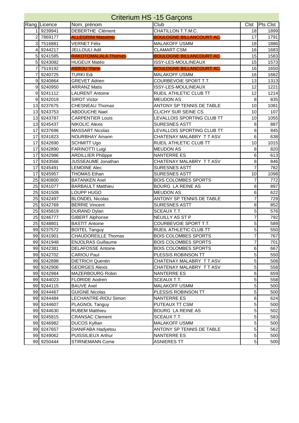|    |                 | <b>Criterium HS -15 Garçons</b> |                                |                |                 |
|----|-----------------|---------------------------------|--------------------------------|----------------|-----------------|
|    | Rang Licence    | Nom, prénom                     | Club                           | <b>Clst</b>    | <b>Pts Clst</b> |
|    | 9239941         | DEBERTHE Clément                | CHATILLON T.T.M.C.             | 18             | 1899            |
| 2  | 7869177         | <b>ALLEGRINI Massimo</b>        | <b>BOULOGNE BILLANCOURT AC</b> | 17             | 1791            |
| 3  | 7516881         | <b>VERNET Félix</b>             | MALAKOFF USMM                  | 18             | 1886            |
| 4  | 9244217         | <b>JELLOULI Adil</b>            | <b>CLAMART CSM</b>             | 16             | 1683            |
| 5  | 9241585         | <b>RAKOTOMALALA Thomas</b>      | <b>BOULOGNE BILLANCOURT AC</b> | 15             | 1583            |
| 5  | 9243082         | <b>HUGEUX Matéo</b>             | ISSY-LES-MOULINEAUX            | 15             | 1573            |
| 7  | 7519192         | <b>ABBOU Ylane</b>              | <b>BOULOGNE BILLANCOURT AC</b> | 16             | 1650            |
| 7  | 9240725         | <b>TURKI Edi</b>                | <b>MALAKOFF USMM</b>           | 16             | 1682            |
| 9  | 9240864         | <b>GREVET Adrien</b>            | <b>COURBEVOIE SPORT T.T.</b>   | 13             | 1313            |
| 9  | 9240950         | <b>ARRANZ Matis</b>             | ISSY-LES-MOULINEAUX            | 12             | 1221            |
|    | 9 9 9 4 1 1 1 2 | <b>LAURENT Antoine</b>          | RUEIL ATHLETIC CLUB TT         | 12             | 1214            |
|    | 9 9 9 24 2019   | <b>SIROT Victor</b>             | <b>MEUDON AS</b>               | 8              | 835             |
|    | 13 9237675      | <b>CHESNEAU Thomas</b>          | ANTONY SP TENNIS DE TABLE      | 10             | 1081            |
|    | 13 9243753      | <b>ABDOUCHE Nael</b>            | CLICHY SUR SEINE CS            | 10             | 107             |
|    | 13 9243787      | <b>CARPENTIER Louis</b>         | LEVALLOIS SPORTING CLUB TT     | 10             | 1055            |
|    | 13 9245437      | <b>NIKOLIC Alexis</b>           | <b>SURESNES ASTT</b>           | 8              | 887             |
| 17 | 9237696         | <b>MASSART Nicolas</b>          | LEVALLOIS SPORTING CLUB TT     | 8              | 845             |
| 17 | 9241823         | <b>NOURBHAY Amann</b>           | CHATENAY MALABRY TT ASV        | 6              | 638             |
| 17 | 9242690         | <b>SCHMITT Ugo</b>              | RUEIL ATHLETIC CLUB TT         | 10             | 1015            |
| 17 | 9242890         | FARINOTTI Luigi                 | <b>MEUDON AS</b>               | 8              | 820             |
| 17 | 9242986         | <b>ARDILLIER Philippe</b>       | <b>NANTERRE ES</b>             | 6              | 613             |
| 17 | 9243566         | JUSSEAUME Jonathan              | CHATENAY MALABRY TT ASV        | 8              | 846             |
| 17 | 9245491         | <b>LEMOINE Alec</b>             | <b>SURESNES ASTT</b>           | 7              | 782             |
| 17 | 9245957         | <b>THOMAS Ethan</b>             | <b>SURESNES ASTT</b>           | 10             | 1098            |
|    | 25 9240800      | <b>BATANKEN Axel</b>            | <b>BOIS COLOMBES SPORTS</b>    | 7              | 772             |
|    | 25 9241077      | <b>BARBAULT Matthieu</b>        | <b>BOURG LA REINE AS</b>       | 8              | 897             |
|    | 25 9241509      | LOUPP HUGO                      | <b>MEUDON AS</b>               | 6              | 622             |
|    | 25 9242497      | <b>BLONDEL Nicolas</b>          | ANTONY SP TENNIS DE TABLE      | 7              | 729             |
|    | 25 9242769      | <b>BERRIE Vincent</b>           | <b>SURESNES ASTT</b>           | 8              | 852             |
|    | 25 9245819      | <b>DURAND Dylan</b>             | SCEAUX T.T.                    | 5              | 576             |
| 25 | 9246777         | <b>GIBERT Alphonse</b>          | NEUILLY AS ST P                | 7              | 792             |
|    | 25 9248801      | <b>BASTIT Antoine</b>           | COURBEVOIE SPORT T.T.          | 5              | 589             |
|    | 99 9237572      | <b>BOITEL Tanguy</b>            | RUEIL ATHLETIC CLUB TT         | 5              | 550             |
|    | 99 9241901      | <b>CHAUDOREILLE Thomas</b>      | <b>BOIS COLOMBES SPORTS</b>    | $\overline{7}$ | 767             |
|    | 99 9241948      | <b>ENJOLRAS Guillaume</b>       | <b>BOIS COLOMBES SPORTS</b>    | 7              | 701             |
|    | 99 9242381      | <b>DELAFOSSE Antoine</b>        | <b>BOIS COLOMBES SPORTS</b>    | 6              | 667             |
|    | 99 9242702      | <b>CARIOU Paul</b>              | PLESSIS ROBINSON TT            | 5              | 550             |
|    | 99 9242898      | <b>DIETRICH Quentin</b>         | CHATENAY MALABRY TT ASV        | 5              | 508             |
|    | 99 9242906      | <b>GEORGES Alexis</b>           | CHATENAY MALABRY TT ASV        | 5              | 558             |
|    | 99 9242984      | MAZERBOURG Robin                | NANTERRE ES                    | 6              | 659             |
|    | 99 9244023      | <b>FLORIDE Aodren</b>           | SCEAUX T.T.                    | 5              | 558             |
|    | 99 9244115      | <b>BAUVE Axel</b>               | MALAKOFF USMM                  | $\sqrt{5}$     | 500             |
|    | 99 9244467      | <b>GUIGNE Nicolas</b>           | PLESSIS ROBINSON TT            | 5              | 500             |
|    | 99 9244484      | LECHANTRE-RIOU Simon            | NANTERRE ES                    | 6              | 624             |
|    | 99 9244607      | PLAGNOL Tanguy                  | PUTEAUX TT CSM                 | 5              | 500             |
|    | 99 9244630      | <b>RUBEM Matthieu</b>           | BOURG LA REINE AS              | 5              | 502             |
|    | 99 9245815      | <b>CRANSAC Clement</b>          | SCEAUX T.T.                    | 5              | 583             |
|    | 99 9246982      | <b>DUCOS Kyllian</b>            | <b>MALAKOFF USMM</b>           | 5              | 500             |
|    | 99 9247657      | DIANIFABA Hadyetou              | ANTONY SP TENNIS DE TABLE      | 5              | 562             |
|    | 99 9249062      | PUISSILIEUX Arthur              | NANTERRE ES                    | 5              | 500             |
|    | 99 9250444      | STIRNEMANN Come                 | <b>ASNIERES TT</b>             | $\sqrt{5}$     | 500             |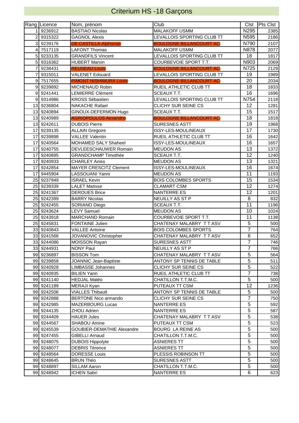## Criterium HS -18 Garçons

|                 | Rang Licence | Nom, prénom                   | Club                           |                | Clst Pts Clst |
|-----------------|--------------|-------------------------------|--------------------------------|----------------|---------------|
|                 | 9236912      | <b>BASTIAO Nicolas</b>        | <b>MALAKOFF USMM</b>           | N295           | 2385          |
| 2               | 9315322      | <b>GAGNOL Alexis</b>          | LEVALLOIS SPORTING CLUB TT     | N595           | 2186          |
| 3               | 9239176      | <b>DE CASTILLA Alphonse</b>   | <b>BOULOGNE BILLANCOURT AC</b> | N790           | 2107          |
| 4               | 7517119      | LAFONT Thomas                 | MALAKOFF USMM                  | N878           | 2077          |
| 5               | 9233135      | <b>GRANDFILS Vincent</b>      | LEVALLOIS SPORTING CLUB TT     | 18             | 1817          |
| 5               | 9316362      | <b>HUBERT Marvin</b>          | COURBEVOIE SPORT T.T.          | N903           | 2069          |
| 7               | 9238431      | <b>REUSEAU Louis</b>          | <b>BOULOGNE BILLANCOURT AC</b> | N725           | 2129          |
| 7               | 9315011      | <b>VALENET Edouard</b>        | LEVALLOIS SPORTING CLUB TT     | 19             | 1989          |
| 9               | 7517655      | <b>PIMONT NISHIMURA Louis</b> | <b>BOULOGNE BILLANCOURT AC</b> | 20             | 2034          |
| 9               | 9239892      | MICHENAUD Robin               | RUEIL ATHLETIC CLUB TT         | 18             | 1833          |
| 9               | 9241441      | <b>LEMIERRE Clément</b>       | SCEAUX T.T.                    | 16             | 1696          |
| 9               | 9314986      | <b>KROSS Sébastien</b>        | LEVALLOIS SPORTING CLUB TT     | N754           | 2118          |
| 13              | 9236804      | <b>NAKACHE Rafael</b>         | CLICHY SUR SEINE CS            | 12             | 1281          |
| 13              | 9240894      | GINOUX-DEFERMON Hugo          | <b>SCEAUX T.T.</b>             | 15             | 1517          |
| 13              | 9240989      | <b>AGRIOPOULOS Aexandre</b>   | <b>BOULOGNE BILLANCOURT AC</b> | 18             | 1818          |
| 13              | 9242611      | <b>DUBOIS Pierre</b>          | SURESNES ASTT                  | 19             | 1968          |
| 17              | 9239135      | <b>ALLAIN Gregoire</b>        | ISSY-LES-MOULINEAUX            | 17             | 1730          |
| 17              | 9239898      | <b>VALLEE Valentin</b>        | RUEIL ATHLETIC CLUB TT         | 16             | 1642          |
| 17              | 9240564      | MOHAMED SALY Shaheel          | ISSY-LES-MOULINEAUX            | 16             | 1657          |
| 17              | 9240755      | DEVLEESCHAUWER Romain         | <b>MEUDON AS</b>               | 13             | 1372          |
| 17              | 9240895      | <b>GRANDCHAMP Timothée</b>    | SCEAUX T.T.                    | 12             | 1240          |
| 17              | 9240933      | <b>CHARLEY Aniss</b>          | <b>MEUDON AS</b>               | 13             | 1321          |
| 17              | 9242854      | <b>MAYER CRESCITZ Clement</b> | ISSY-LES-MOULINEAUX            | 16             | 1674          |
| 17              | 9445904      | LASSOUANI Yanni               | <b>MEUDON AS</b>               | 11             | 1193          |
| 25              | 9237949      | <b>ISRAEL Kevin</b>           | <b>BOIS COLOMBES SPORTS</b>    | 15             | 1534          |
|                 | 25 9239339   | <b>LALET Matisse</b>          | <b>CLAMART CSM</b>             | 12             | 1274          |
|                 | 25 9241367   | <b>DEROUES Brice</b>          | <b>NANTERRE ES</b>             | 12             | 1201          |
|                 | 25 9242399   | <b>BARRY Nicolas</b>          | NEUILLY AS ST P                | 8              | 832           |
| 25              | 9242455      | SORIANO Diego                 | SCEAUX T.T.                    | 11             | 1196          |
|                 | 25 9243624   | <b>LEVY Samuel</b>            | <b>MEUDON AS</b>               | 10             | 1024          |
| 25              | 9243918      | <b>MARCHAND Romain</b>        | COURBEVOIE SPORT T.T.          | 11             | 1138          |
| 25              | 9245831      | FONTAINE Julien               | CHATENAY MALABRY TT ASV        | 5              | 500           |
| 33              | 9240843      | <b>VALLEE Antoine</b>         | <b>BOIS COLOMBES SPORTS</b>    | $\overline{7}$ | 764           |
| 33 <sub>1</sub> | 9241566      | JOVANOVIC Christopher         | CHATENAY MALABRY TT ASV        | 6              | 652           |
|                 | 33 9244086   | MOISSON Rayan                 | SURESNES ASTT                  | $\overline{7}$ | 746           |
|                 | 33 9244931   | <b>NONY Paul</b>              | NEUILLY AS ST P                | 7              | 766           |
|                 | 99 9236897   | <b>BISSON Tom</b>             | CHATENAY MALABRY TT ASV        | 5              | 564           |
|                 | 99 9239858   | JOANNIC Jean-Baptiste         | ANTONY SP TENNIS DE TABLE      | 5              | 511           |
|                 | 99 9240928   | <b>LIMBASSE Johannes</b>      | CLICHY SUR SEINE CS            | $\overline{5}$ | 522           |
|                 | 99 9240935   | <b>BILIEN Yann</b>            | RUEIL ATHLETIC CLUB TT         | $\overline{7}$ | 738           |
|                 | 99 9241140   | <b>HEDJAL Matéo</b>           | CHATILLON T.T.M.C.             | $\overline{5}$ | 500           |
|                 | 99 9241189   | MERAJI Kyan                   | PUTEAUX TT CSM                 | 12             | 1236          |
|                 | 99 9242506   | <b>VIALLES Thibault</b>       | ANTONY SP TENNIS DE TABLE      | $\overline{5}$ | 500           |
|                 | 99 9242888   | <b>BERTONE Nico armando</b>   | CLICHY SUR SEINE CS            | $\overline{7}$ | 750           |
|                 | 99 9242985   | MAZERBOURG Lucas              | NANTERRE ES                    | 5              | 592           |
|                 | 99 9244135   | <b>ZHOU Adrien</b>            | NANTERRE ES                    | 5              | 587           |
|                 | 99 9244409   | <b>HAUER Jules</b>            | CHATENAY MALABRY TT ASV        | 5              | 538           |
|                 | 99 9244567   | SHABOU Amine                  | PUTEAUX TT CSM                 | 5              | 523           |
|                 | 99 9245539   | GOUBIER-DEMATHIE Alexandre    | BOURG LA REINE AS              | 5              | 500           |
|                 | 99 9247455   | <b>GIBELLI Arnaud</b>         | CHATILLON T.T.M.C.             | 5              | 500           |
|                 | 99 9248075   | <b>DUBOIS Hippolyte</b>       | <b>ASNIERES TT</b>             | 5              | 500           |
|                 | 99 9248077   | <b>DEBRIS Térence</b>         | <b>ASNIERES TT</b>             | 5              | 500           |
|                 | 99 9248564   | <b>DORESSE Louis</b>          | PLESSIS ROBINSON TT            | 5              | 500           |
|                 | 99 9248645   | <b>BRUN Théo</b>              | SURESNES ASTT                  | 5              | 500           |
|                 | 99 9248897   | SILLAM Aaron                  | CHATILLON T.T.M.C.             | 5              | 500           |
|                 | 99 9248942   | ICHEN Sabri                   | NANTERRE ES                    | 6              | 623           |